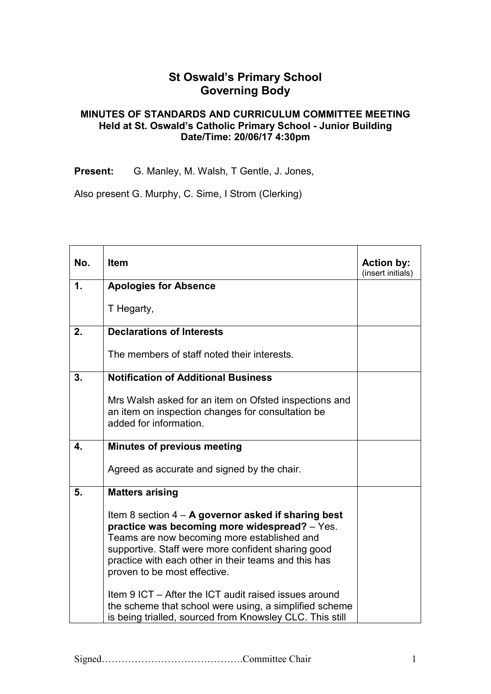## **St Oswald's Primary School Governing Body**

## **MINUTES OF STANDARDS AND CURRICULUM COMMITTEE MEETING Held at St. Oswald's Catholic Primary School - Junior Building Date/Time: 20/06/17 4:30pm**

Present: G. Manley, M. Walsh, T Gentle, J. Jones,

Also present G. Murphy, C. Sime, I Strom (Clerking)

| No.           | <b>Item</b>                                                                                                                                                                                                                                                                                         | <b>Action by:</b><br>(insert initials) |
|---------------|-----------------------------------------------------------------------------------------------------------------------------------------------------------------------------------------------------------------------------------------------------------------------------------------------------|----------------------------------------|
| $\mathbf 1$ . | <b>Apologies for Absence</b>                                                                                                                                                                                                                                                                        |                                        |
|               | T Hegarty,                                                                                                                                                                                                                                                                                          |                                        |
| 2.            | <b>Declarations of Interests</b>                                                                                                                                                                                                                                                                    |                                        |
|               | The members of staff noted their interests.                                                                                                                                                                                                                                                         |                                        |
| 3.            | <b>Notification of Additional Business</b>                                                                                                                                                                                                                                                          |                                        |
|               | Mrs Walsh asked for an item on Ofsted inspections and<br>an item on inspection changes for consultation be<br>added for information.                                                                                                                                                                |                                        |
| 4.            | <b>Minutes of previous meeting</b>                                                                                                                                                                                                                                                                  |                                        |
|               | Agreed as accurate and signed by the chair.                                                                                                                                                                                                                                                         |                                        |
| 5.            | <b>Matters arising</b>                                                                                                                                                                                                                                                                              |                                        |
|               | Item 8 section $4 - A$ governor asked if sharing best<br>practice was becoming more widespread? - Yes.<br>Teams are now becoming more established and<br>supportive. Staff were more confident sharing good<br>practice with each other in their teams and this has<br>proven to be most effective. |                                        |
|               | Item 9 ICT – After the ICT audit raised issues around<br>the scheme that school were using, a simplified scheme<br>is being trialled, sourced from Knowsley CLC. This still                                                                                                                         |                                        |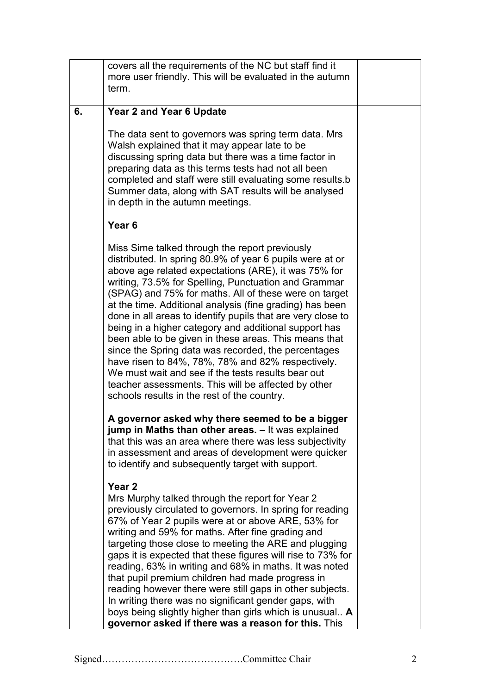|    | covers all the requirements of the NC but staff find it<br>more user friendly. This will be evaluated in the autumn<br>term.                                                                                                                                                                                                                                                                                                                                                                                                                                                                                                                                                                                                                                                                             |  |
|----|----------------------------------------------------------------------------------------------------------------------------------------------------------------------------------------------------------------------------------------------------------------------------------------------------------------------------------------------------------------------------------------------------------------------------------------------------------------------------------------------------------------------------------------------------------------------------------------------------------------------------------------------------------------------------------------------------------------------------------------------------------------------------------------------------------|--|
| 6. | <b>Year 2 and Year 6 Update</b>                                                                                                                                                                                                                                                                                                                                                                                                                                                                                                                                                                                                                                                                                                                                                                          |  |
|    | The data sent to governors was spring term data. Mrs<br>Walsh explained that it may appear late to be<br>discussing spring data but there was a time factor in<br>preparing data as this terms tests had not all been<br>completed and staff were still evaluating some results.b<br>Summer data, along with SAT results will be analysed<br>in depth in the autumn meetings.                                                                                                                                                                                                                                                                                                                                                                                                                            |  |
|    | Year <sub>6</sub>                                                                                                                                                                                                                                                                                                                                                                                                                                                                                                                                                                                                                                                                                                                                                                                        |  |
|    | Miss Sime talked through the report previously<br>distributed. In spring 80.9% of year 6 pupils were at or<br>above age related expectations (ARE), it was 75% for<br>writing, 73.5% for Spelling, Punctuation and Grammar<br>(SPAG) and 75% for maths. All of these were on target<br>at the time. Additional analysis (fine grading) has been<br>done in all areas to identify pupils that are very close to<br>being in a higher category and additional support has<br>been able to be given in these areas. This means that<br>since the Spring data was recorded, the percentages<br>have risen to 84%, 78%, 78% and 82% respectively.<br>We must wait and see if the tests results bear out<br>teacher assessments. This will be affected by other<br>schools results in the rest of the country. |  |
|    | A governor asked why there seemed to be a bigger<br>jump in Maths than other areas. - It was explained<br>that this was an area where there was less subjectivity<br>in assessment and areas of development were quicker<br>to identify and subsequently target with support.                                                                                                                                                                                                                                                                                                                                                                                                                                                                                                                            |  |
|    | Year 2<br>Mrs Murphy talked through the report for Year 2<br>previously circulated to governors. In spring for reading<br>67% of Year 2 pupils were at or above ARE, 53% for<br>writing and 59% for maths. After fine grading and<br>targeting those close to meeting the ARE and plugging<br>gaps it is expected that these figures will rise to 73% for<br>reading, 63% in writing and 68% in maths. It was noted<br>that pupil premium children had made progress in<br>reading however there were still gaps in other subjects.<br>In writing there was no significant gender gaps, with<br>boys being slightly higher than girls which is unusual A<br>governor asked if there was a reason for this. This                                                                                          |  |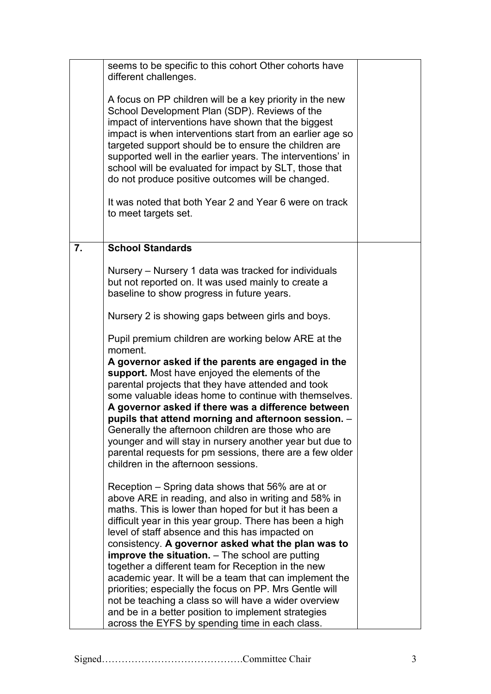|    | seems to be specific to this cohort Other cohorts have<br>different challenges.<br>A focus on PP children will be a key priority in the new<br>School Development Plan (SDP). Reviews of the                                                                                                                                                                                                                                                                                                                                                          |  |
|----|-------------------------------------------------------------------------------------------------------------------------------------------------------------------------------------------------------------------------------------------------------------------------------------------------------------------------------------------------------------------------------------------------------------------------------------------------------------------------------------------------------------------------------------------------------|--|
|    | impact of interventions have shown that the biggest<br>impact is when interventions start from an earlier age so<br>targeted support should be to ensure the children are<br>supported well in the earlier years. The interventions' in<br>school will be evaluated for impact by SLT, those that<br>do not produce positive outcomes will be changed.                                                                                                                                                                                                |  |
|    | It was noted that both Year 2 and Year 6 were on track<br>to meet targets set.                                                                                                                                                                                                                                                                                                                                                                                                                                                                        |  |
| 7. | <b>School Standards</b>                                                                                                                                                                                                                                                                                                                                                                                                                                                                                                                               |  |
|    | Nursery – Nursery 1 data was tracked for individuals<br>but not reported on. It was used mainly to create a<br>baseline to show progress in future years.                                                                                                                                                                                                                                                                                                                                                                                             |  |
|    | Nursery 2 is showing gaps between girls and boys.                                                                                                                                                                                                                                                                                                                                                                                                                                                                                                     |  |
|    | Pupil premium children are working below ARE at the<br>moment.                                                                                                                                                                                                                                                                                                                                                                                                                                                                                        |  |
|    | A governor asked if the parents are engaged in the<br>support. Most have enjoyed the elements of the<br>parental projects that they have attended and took<br>some valuable ideas home to continue with themselves.<br>A governor asked if there was a difference between<br>pupils that attend morning and afternoon session. -<br>Generally the afternoon children are those who are<br>younger and will stay in nursery another year but due to<br>parental requests for pm sessions, there are a few older<br>children in the afternoon sessions. |  |
|    | Reception – Spring data shows that 56% are at or<br>above ARE in reading, and also in writing and 58% in<br>maths. This is lower than hoped for but it has been a<br>difficult year in this year group. There has been a high<br>level of staff absence and this has impacted on                                                                                                                                                                                                                                                                      |  |
|    | consistency. A governor asked what the plan was to<br>improve the situation. - The school are putting<br>together a different team for Reception in the new                                                                                                                                                                                                                                                                                                                                                                                           |  |
|    | academic year. It will be a team that can implement the<br>priorities; especially the focus on PP. Mrs Gentle will<br>not be teaching a class so will have a wider overview<br>and be in a better position to implement strategies                                                                                                                                                                                                                                                                                                                    |  |
|    | across the EYFS by spending time in each class.                                                                                                                                                                                                                                                                                                                                                                                                                                                                                                       |  |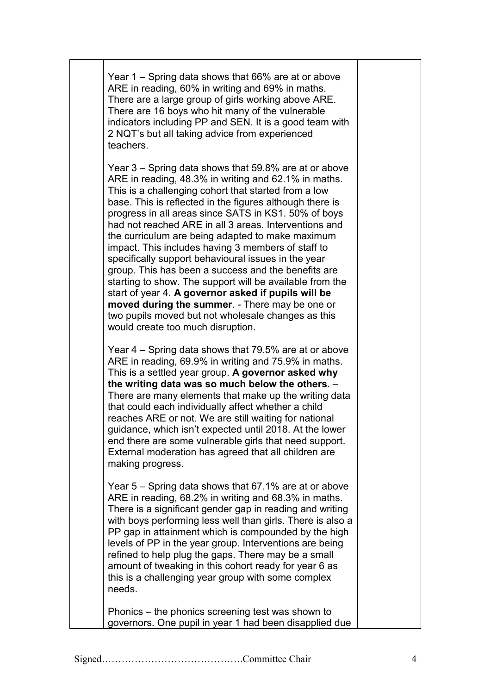Year 1 – Spring data shows that 66% are at or above ARE in reading, 60% in writing and 69% in maths. There are a large group of girls working above ARE. There are 16 boys who hit many of the vulnerable indicators including PP and SEN. It is a good team with 2 NQT's but all taking advice from experienced teachers.

Year 3 – Spring data shows that 59.8% are at or above ARE in reading, 48.3% in writing and 62.1% in maths. This is a challenging cohort that started from a low base. This is reflected in the figures although there is progress in all areas since SATS in KS1. 50% of boys had not reached ARE in all 3 areas. Interventions and the curriculum are being adapted to make maximum impact. This includes having 3 members of staff to specifically support behavioural issues in the year group. This has been a success and the benefits are starting to show. The support will be available from the start of year 4. **A governor asked if pupils will be moved during the summer**. - There may be one or two pupils moved but not wholesale changes as this would create too much disruption.

Year 4 – Spring data shows that 79.5% are at or above ARE in reading, 69.9% in writing and 75.9% in maths. This is a settled year group. **A governor asked why the writing data was so much below the others**. – There are many elements that make up the writing data that could each individually affect whether a child reaches ARE or not. We are still waiting for national guidance, which isn't expected until 2018. At the lower end there are some vulnerable girls that need support. External moderation has agreed that all children are making progress.

Year 5 – Spring data shows that 67.1% are at or above ARE in reading, 68.2% in writing and 68.3% in maths. There is a significant gender gap in reading and writing with boys performing less well than girls. There is also a PP gap in attainment which is compounded by the high levels of PP in the year group. Interventions are being refined to help plug the gaps. There may be a small amount of tweaking in this cohort ready for year 6 as this is a challenging year group with some complex needs.

Phonics – the phonics screening test was shown to governors. One pupil in year 1 had been disapplied due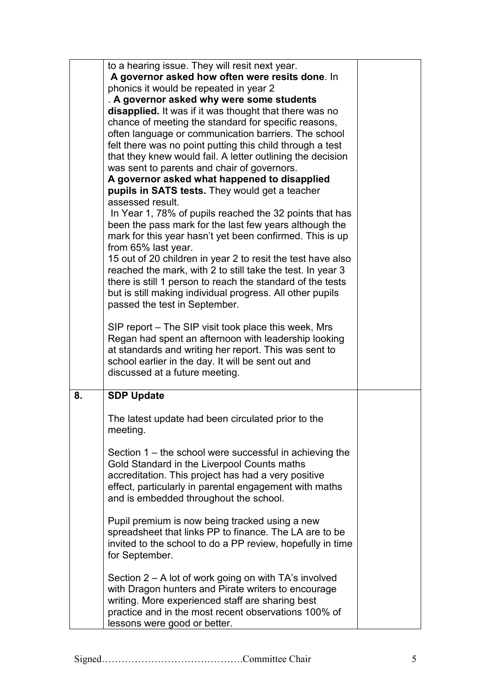|    | to a hearing issue. They will resit next year.                                                                |  |
|----|---------------------------------------------------------------------------------------------------------------|--|
|    | A governor asked how often were resits done. In                                                               |  |
|    | phonics it would be repeated in year 2                                                                        |  |
|    | . A governor asked why were some students                                                                     |  |
|    | disapplied. It was if it was thought that there was no                                                        |  |
|    | chance of meeting the standard for specific reasons,                                                          |  |
|    | often language or communication barriers. The school                                                          |  |
|    | felt there was no point putting this child through a test                                                     |  |
|    | that they knew would fail. A letter outlining the decision                                                    |  |
|    | was sent to parents and chair of governors.                                                                   |  |
|    | A governor asked what happened to disapplied                                                                  |  |
|    | pupils in SATS tests. They would get a teacher                                                                |  |
|    | assessed result.                                                                                              |  |
|    | In Year 1, 78% of pupils reached the 32 points that has                                                       |  |
|    | been the pass mark for the last few years although the                                                        |  |
|    | mark for this year hasn't yet been confirmed. This is up                                                      |  |
|    | from 65% last year.                                                                                           |  |
|    | 15 out of 20 children in year 2 to resit the test have also                                                   |  |
|    | reached the mark, with 2 to still take the test. In year 3                                                    |  |
|    | there is still 1 person to reach the standard of the tests                                                    |  |
|    | but is still making individual progress. All other pupils                                                     |  |
|    | passed the test in September.                                                                                 |  |
|    |                                                                                                               |  |
|    | SIP report - The SIP visit took place this week, Mrs                                                          |  |
|    | Regan had spent an afternoon with leadership looking<br>at standards and writing her report. This was sent to |  |
|    | school earlier in the day. It will be sent out and                                                            |  |
|    | discussed at a future meeting.                                                                                |  |
|    |                                                                                                               |  |
| 8. | <b>SDP Update</b>                                                                                             |  |
|    | The latest update had been circulated prior to the                                                            |  |
|    | meeting.                                                                                                      |  |
|    |                                                                                                               |  |
|    | Section 1 – the school were successful in achieving the                                                       |  |
|    | Gold Standard in the Liverpool Counts maths                                                                   |  |
|    |                                                                                                               |  |
|    |                                                                                                               |  |
|    | accreditation. This project has had a very positive<br>effect, particularly in parental engagement with maths |  |
|    | and is embedded throughout the school.                                                                        |  |
|    |                                                                                                               |  |
|    | Pupil premium is now being tracked using a new                                                                |  |
|    | spreadsheet that links PP to finance. The LA are to be                                                        |  |
|    | invited to the school to do a PP review, hopefully in time                                                    |  |
|    | for September.                                                                                                |  |
|    |                                                                                                               |  |
|    | Section $2 - A$ lot of work going on with TA's involved                                                       |  |
|    | with Dragon hunters and Pirate writers to encourage                                                           |  |
|    | writing. More experienced staff are sharing best                                                              |  |
|    | practice and in the most recent observations 100% of<br>lessons were good or better.                          |  |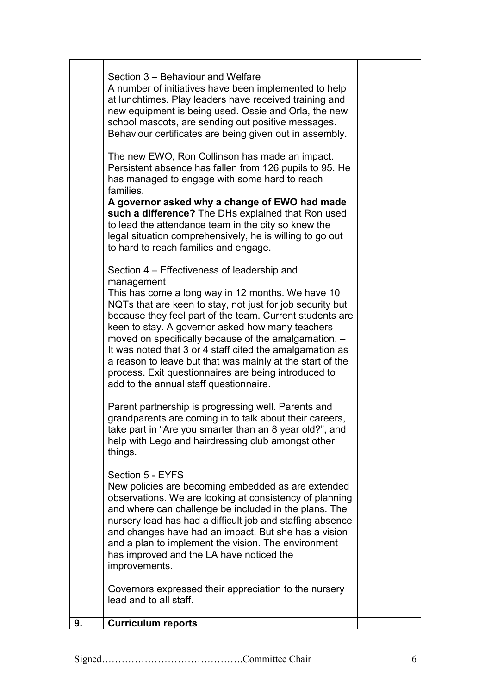| 9. | <b>Curriculum reports</b>                                                                                                                                                                                                                                                                                                                                                                                                                                                                                                                                                                                           |  |
|----|---------------------------------------------------------------------------------------------------------------------------------------------------------------------------------------------------------------------------------------------------------------------------------------------------------------------------------------------------------------------------------------------------------------------------------------------------------------------------------------------------------------------------------------------------------------------------------------------------------------------|--|
|    | Governors expressed their appreciation to the nursery<br>lead and to all staff.                                                                                                                                                                                                                                                                                                                                                                                                                                                                                                                                     |  |
|    | Section 5 - EYFS<br>New policies are becoming embedded as are extended<br>observations. We are looking at consistency of planning<br>and where can challenge be included in the plans. The<br>nursery lead has had a difficult job and staffing absence<br>and changes have had an impact. But she has a vision<br>and a plan to implement the vision. The environment<br>has improved and the LA have noticed the<br>improvements.                                                                                                                                                                                 |  |
|    | Parent partnership is progressing well. Parents and<br>grandparents are coming in to talk about their careers,<br>take part in "Are you smarter than an 8 year old?", and<br>help with Lego and hairdressing club amongst other<br>things.                                                                                                                                                                                                                                                                                                                                                                          |  |
|    | Section 4 – Effectiveness of leadership and<br>management<br>This has come a long way in 12 months. We have 10<br>NQTs that are keen to stay, not just for job security but<br>because they feel part of the team. Current students are<br>keen to stay. A governor asked how many teachers<br>moved on specifically because of the amalgamation. -<br>It was noted that 3 or 4 staff cited the amalgamation as<br>a reason to leave but that was mainly at the start of the<br>process. Exit questionnaires are being introduced to<br>add to the annual staff questionnaire.                                      |  |
|    | new equipment is being used. Ossie and Orla, the new<br>school mascots, are sending out positive messages.<br>Behaviour certificates are being given out in assembly.<br>The new EWO, Ron Collinson has made an impact.<br>Persistent absence has fallen from 126 pupils to 95. He<br>has managed to engage with some hard to reach<br>families.<br>A governor asked why a change of EWO had made<br>such a difference? The DHs explained that Ron used<br>to lead the attendance team in the city so knew the<br>legal situation comprehensively, he is willing to go out<br>to hard to reach families and engage. |  |
|    | Section 3 – Behaviour and Welfare<br>A number of initiatives have been implemented to help<br>at lunchtimes. Play leaders have received training and                                                                                                                                                                                                                                                                                                                                                                                                                                                                |  |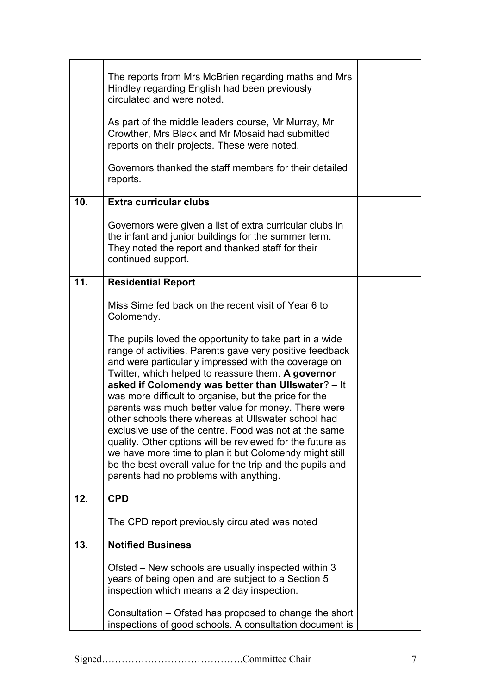|     | The reports from Mrs McBrien regarding maths and Mrs<br>Hindley regarding English had been previously<br>circulated and were noted.<br>As part of the middle leaders course, Mr Murray, Mr<br>Crowther, Mrs Black and Mr Mosaid had submitted<br>reports on their projects. These were noted.                                                                                                                                                                                                                                                                                                                                                                                                                                                         |  |
|-----|-------------------------------------------------------------------------------------------------------------------------------------------------------------------------------------------------------------------------------------------------------------------------------------------------------------------------------------------------------------------------------------------------------------------------------------------------------------------------------------------------------------------------------------------------------------------------------------------------------------------------------------------------------------------------------------------------------------------------------------------------------|--|
|     | Governors thanked the staff members for their detailed<br>reports.                                                                                                                                                                                                                                                                                                                                                                                                                                                                                                                                                                                                                                                                                    |  |
| 10. | <b>Extra curricular clubs</b>                                                                                                                                                                                                                                                                                                                                                                                                                                                                                                                                                                                                                                                                                                                         |  |
|     | Governors were given a list of extra curricular clubs in<br>the infant and junior buildings for the summer term.<br>They noted the report and thanked staff for their<br>continued support.                                                                                                                                                                                                                                                                                                                                                                                                                                                                                                                                                           |  |
| 11. | <b>Residential Report</b>                                                                                                                                                                                                                                                                                                                                                                                                                                                                                                                                                                                                                                                                                                                             |  |
|     | Miss Sime fed back on the recent visit of Year 6 to<br>Colomendy.                                                                                                                                                                                                                                                                                                                                                                                                                                                                                                                                                                                                                                                                                     |  |
|     | The pupils loved the opportunity to take part in a wide<br>range of activities. Parents gave very positive feedback<br>and were particularly impressed with the coverage on<br>Twitter, which helped to reassure them. A governor<br>asked if Colomendy was better than Ullswater? - It<br>was more difficult to organise, but the price for the<br>parents was much better value for money. There were<br>other schools there whereas at Ullswater school had<br>exclusive use of the centre. Food was not at the same<br>quality. Other options will be reviewed for the future as<br>we have more time to plan it but Colomendy might still<br>be the best overall value for the trip and the pupils and<br>parents had no problems with anything. |  |
| 12. | <b>CPD</b>                                                                                                                                                                                                                                                                                                                                                                                                                                                                                                                                                                                                                                                                                                                                            |  |
|     | The CPD report previously circulated was noted                                                                                                                                                                                                                                                                                                                                                                                                                                                                                                                                                                                                                                                                                                        |  |
| 13. | <b>Notified Business</b>                                                                                                                                                                                                                                                                                                                                                                                                                                                                                                                                                                                                                                                                                                                              |  |
|     | Ofsted – New schools are usually inspected within 3<br>years of being open and are subject to a Section 5<br>inspection which means a 2 day inspection.                                                                                                                                                                                                                                                                                                                                                                                                                                                                                                                                                                                               |  |
|     | Consultation – Ofsted has proposed to change the short<br>inspections of good schools. A consultation document is                                                                                                                                                                                                                                                                                                                                                                                                                                                                                                                                                                                                                                     |  |